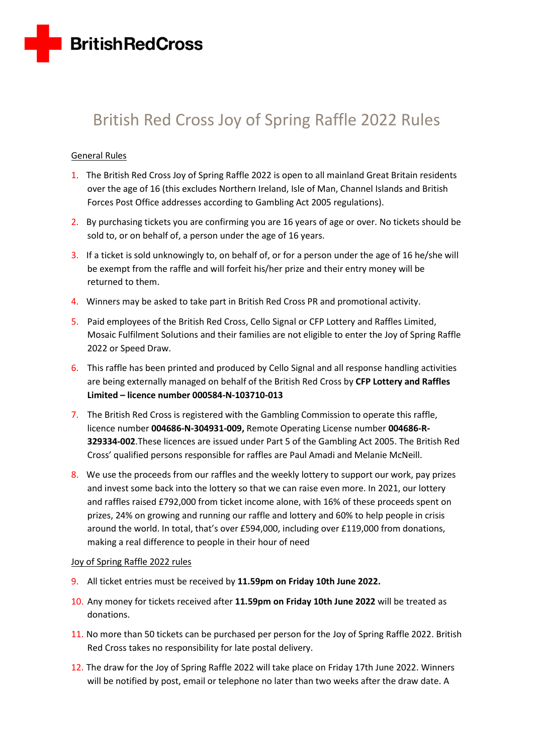

# British Red Cross Joy of Spring Raffle 2022 Rules

# General Rules

- 1. The British Red Cross Joy of Spring Raffle 2022 is open to all mainland Great Britain residents over the age of 16 (this excludes Northern Ireland, Isle of Man, Channel Islands and British Forces Post Office addresses according to Gambling Act 2005 regulations).
- 2. By purchasing tickets you are confirming you are 16 years of age or over. No tickets should be sold to, or on behalf of, a person under the age of 16 years.
- 3. If a ticket is sold unknowingly to, on behalf of, or for a person under the age of 16 he/she will be exempt from the raffle and will forfeit his/her prize and their entry money will be returned to them.
- 4. Winners may be asked to take part in British Red Cross PR and promotional activity.
- 5. Paid employees of the British Red Cross, Cello Signal or CFP Lottery and Raffles Limited, Mosaic Fulfilment Solutions and their families are not eligible to enter the Joy of Spring Raffle 2022 or Speed Draw.
- 6. This raffle has been printed and produced by Cello Signal and all response handling activities are being externally managed on behalf of the British Red Cross by **CFP Lottery and Raffles Limited – licence number 000584-N-103710-013**
- 7. The British Red Cross is registered with the Gambling Commission to operate this raffle, licence number **004686-N-304931-009,** Remote Operating License number **004686-R-329334-002**.These licences are issued under Part 5 of the Gambling Act 2005. The British Red Cross' qualified persons responsible for raffles are Paul Amadi and Melanie McNeill.
- 8. We use the proceeds from our raffles and the weekly lottery to support our work, pay prizes and invest some back into the lottery so that we can raise even more. In 2021, our lottery and raffles raised £792,000 from ticket income alone, with 16% of these proceeds spent on prizes, 24% on growing and running our raffle and lottery and 60% to help people in crisis around the world. In total, that's over £594,000, including over £119,000 from donations, making a real difference to people in their hour of need

### Joy of Spring Raffle 2022 rules

- 9. All ticket entries must be received by **11.59pm on Friday 10th June 2022.**
- 10. Any money for tickets received after **11.59pm on Friday 10th June 2022** will be treated as donations.
- 11. No more than 50 tickets can be purchased per person for the Joy of Spring Raffle 2022. British Red Cross takes no responsibility for late postal delivery.
- 12. The draw for the Joy of Spring Raffle 2022 will take place on Friday 17th June 2022. Winners will be notified by post, email or telephone no later than two weeks after the draw date. A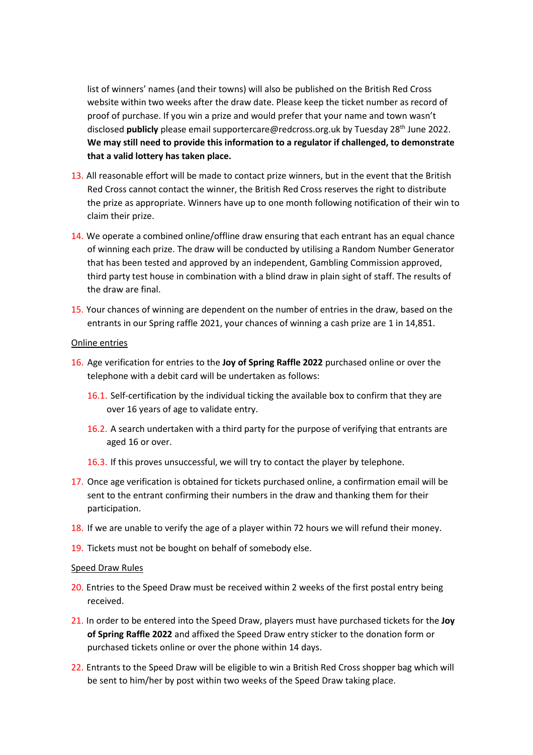list of winners' names (and their towns) will also be published on the British Red Cross website within two weeks after the draw date. Please keep the ticket number as record of proof of purchase. If you win a prize and would prefer that your name and town wasn't disclosed **publicly** please email supportercare@redcross.org.uk by Tuesday 28 th June 2022. **We may still need to provide this information to a regulator if challenged, to demonstrate that a valid lottery has taken place.** 

- 13. All reasonable effort will be made to contact prize winners, but in the event that the British Red Cross cannot contact the winner, the British Red Cross reserves the right to distribute the prize as appropriate. Winners have up to one month following notification of their win to claim their prize.
- 14. We operate a combined online/offline draw ensuring that each entrant has an equal chance of winning each prize. The draw will be conducted by utilising a Random Number Generator that has been tested and approved by an independent, Gambling Commission approved, third party test house in combination with a blind draw in plain sight of staff. The results of the draw are final.
- 15. Your chances of winning are dependent on the number of entries in the draw, based on the entrants in our Spring raffle 2021, your chances of winning a cash prize are 1 in 14,851.

## Online entries

- 16. Age verification for entries to the **Joy of Spring Raffle 2022** purchased online or over the telephone with a debit card will be undertaken as follows:
	- 16.1. Self-certification by the individual ticking the available box to confirm that they are over 16 years of age to validate entry.
	- 16.2. A search undertaken with a third party for the purpose of verifying that entrants are aged 16 or over.
	- 16.3. If this proves unsuccessful, we will try to contact the player by telephone.
- 17. Once age verification is obtained for tickets purchased online, a confirmation email will be sent to the entrant confirming their numbers in the draw and thanking them for their participation.
- 18. If we are unable to verify the age of a player within 72 hours we will refund their money.
- 19. Tickets must not be bought on behalf of somebody else.

### Speed Draw Rules

- 20. Entries to the Speed Draw must be received within 2 weeks of the first postal entry being received.
- 21. In order to be entered into the Speed Draw, players must have purchased tickets for the **Joy of Spring Raffle 2022** and affixed the Speed Draw entry sticker to the donation form or purchased tickets online or over the phone within 14 days.
- 22. Entrants to the Speed Draw will be eligible to win a British Red Cross shopper bag which will be sent to him/her by post within two weeks of the Speed Draw taking place.